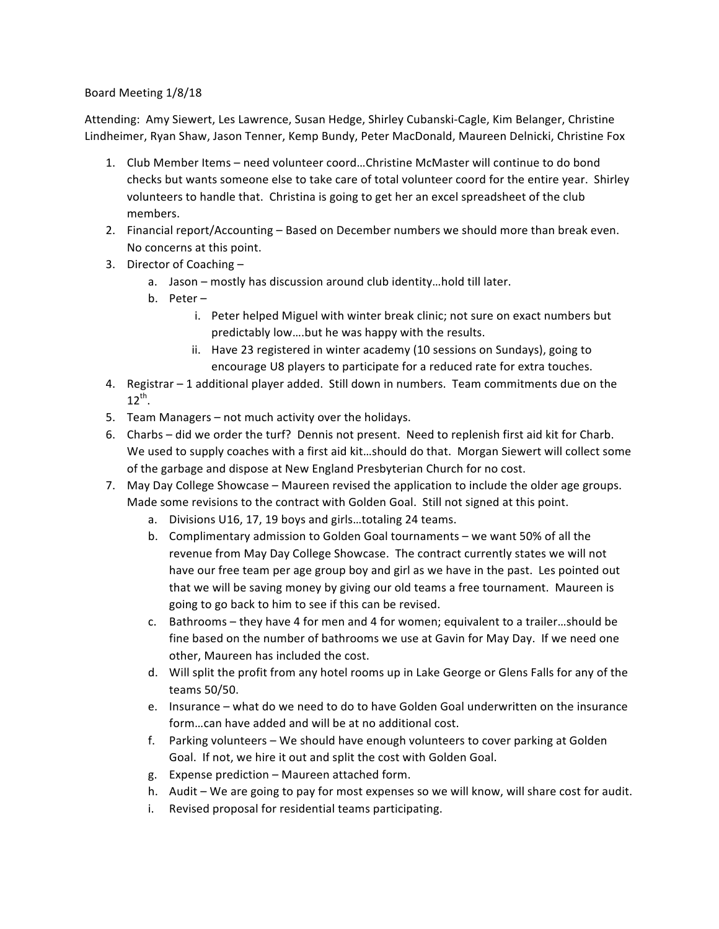## Board Meeting 1/8/18

Attending: Amy Siewert, Les Lawrence, Susan Hedge, Shirley Cubanski-Cagle, Kim Belanger, Christine Lindheimer, Ryan Shaw, Jason Tenner, Kemp Bundy, Peter MacDonald, Maureen Delnicki, Christine Fox

- 1. Club Member Items need volunteer coord...Christine McMaster will continue to do bond checks but wants someone else to take care of total volunteer coord for the entire year. Shirley volunteers to handle that. Christina is going to get her an excel spreadsheet of the club members.
- 2. Financial report/Accounting Based on December numbers we should more than break even. No concerns at this point.
- 3. Director of Coaching
	- a. Jason mostly has discussion around club identity...hold till later.
	- b. Peter $$ 
		- i. Peter helped Miguel with winter break clinic; not sure on exact numbers but predictably low....but he was happy with the results.
		- ii. Have 23 registered in winter academy (10 sessions on Sundays), going to encourage U8 players to participate for a reduced rate for extra touches.
- 4. Registrar  $-1$  additional player added. Still down in numbers. Team commitments due on the  $12^{th}$ .
- 5. Team Managers not much activity over the holidays.
- 6. Charbs did we order the turf? Dennis not present. Need to replenish first aid kit for Charb. We used to supply coaches with a first aid kit...should do that. Morgan Siewert will collect some of the garbage and dispose at New England Presbyterian Church for no cost.
- 7. May Day College Showcase Maureen revised the application to include the older age groups. Made some revisions to the contract with Golden Goal. Still not signed at this point.
	- a. Divisions U16, 17, 19 boys and girls...totaling 24 teams.
	- b. Complimentary admission to Golden Goal tournaments we want 50% of all the revenue from May Day College Showcase. The contract currently states we will not have our free team per age group boy and girl as we have in the past. Les pointed out that we will be saving money by giving our old teams a free tournament. Maureen is going to go back to him to see if this can be revised.
	- c. Bathrooms they have 4 for men and 4 for women; equivalent to a trailer...should be fine based on the number of bathrooms we use at Gavin for May Day. If we need one other, Maureen has included the cost.
	- d. Will split the profit from any hotel rooms up in Lake George or Glens Falls for any of the teams 50/50.
	- e. Insurance what do we need to do to have Golden Goal underwritten on the insurance form...can have added and will be at no additional cost.
	- f. Parking volunteers We should have enough volunteers to cover parking at Golden Goal. If not, we hire it out and split the cost with Golden Goal.
	- g. Expense prediction Maureen attached form.
	- h. Audit We are going to pay for most expenses so we will know, will share cost for audit.
	- i. Revised proposal for residential teams participating.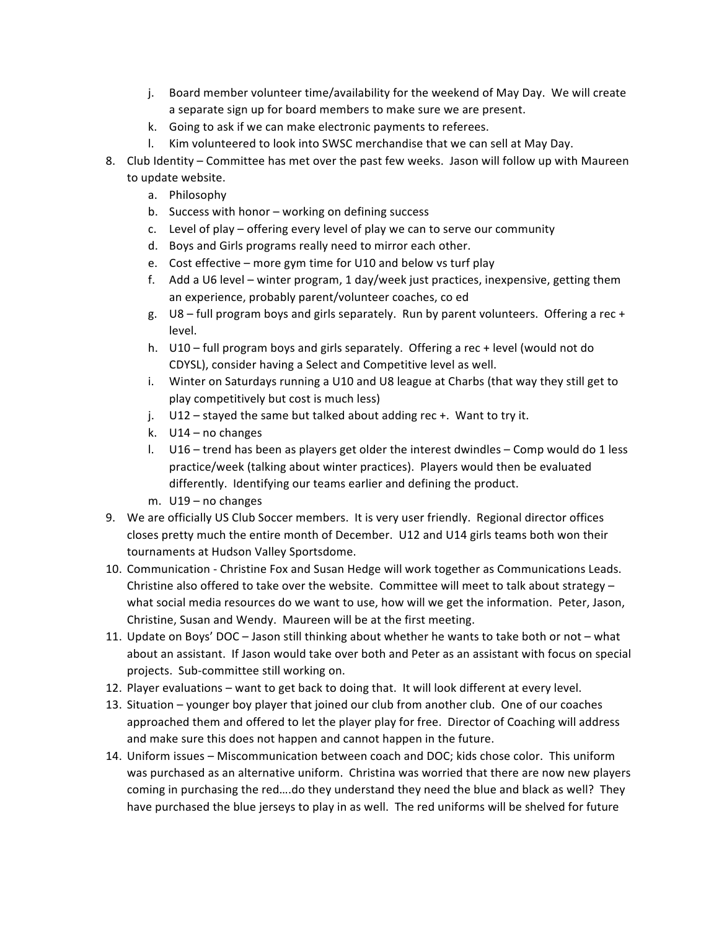- j. Board member volunteer time/availability for the weekend of May Day. We will create a separate sign up for board members to make sure we are present.
- k. Going to ask if we can make electronic payments to referees.
- l. Kim volunteered to look into SWSC merchandise that we can sell at May Day.
- 8. Club Identity Committee has met over the past few weeks. Jason will follow up with Maureen to update website.
	- a. Philosophy
	- b. Success with honor working on defining success
	- c. Level of play offering every level of play we can to serve our community
	- d. Boys and Girls programs really need to mirror each other.
	- e. Cost effective more gym time for U10 and below vs turf play
	- f. Add a U6 level winter program, 1 day/week just practices, inexpensive, getting them an experience, probably parent/volunteer coaches, co ed
	- g.  $US$  full program boys and girls separately. Run by parent volunteers. Offering a rec + level.
	- h.  $U10 full program boys and girls separately.$  Offering a rec + level (would not do CDYSL), consider having a Select and Competitive level as well.
	- i. Winter on Saturdays running a U10 and U8 league at Charbs (that way they still get to play competitively but cost is much less)
	- j.  $U12 -$  stayed the same but talked about adding rec +. Want to try it.
	- k.  $U14 no$  changes
	- l. U16 trend has been as players get older the interest dwindles Comp would do 1 less practice/week (talking about winter practices). Players would then be evaluated differently. Identifying our teams earlier and defining the product.
	- m.  $U19$  no changes
- 9. We are officially US Club Soccer members. It is very user friendly. Regional director offices closes pretty much the entire month of December. U12 and U14 girls teams both won their tournaments at Hudson Valley Sportsdome.
- 10. Communication Christine Fox and Susan Hedge will work together as Communications Leads. Christine also offered to take over the website. Committee will meet to talk about strategy  $$ what social media resources do we want to use, how will we get the information. Peter, Jason, Christine, Susan and Wendy. Maureen will be at the first meeting.
- 11. Update on Boys' DOC Jason still thinking about whether he wants to take both or not what about an assistant. If Jason would take over both and Peter as an assistant with focus on special projects. Sub-committee still working on.
- 12. Player evaluations want to get back to doing that. It will look different at every level.
- 13. Situation  $-$  younger boy player that joined our club from another club. One of our coaches approached them and offered to let the player play for free. Director of Coaching will address and make sure this does not happen and cannot happen in the future.
- 14. Uniform issues Miscommunication between coach and DOC; kids chose color. This uniform was purchased as an alternative uniform. Christina was worried that there are now new players coming in purchasing the red....do they understand they need the blue and black as well? They have purchased the blue jerseys to play in as well. The red uniforms will be shelved for future